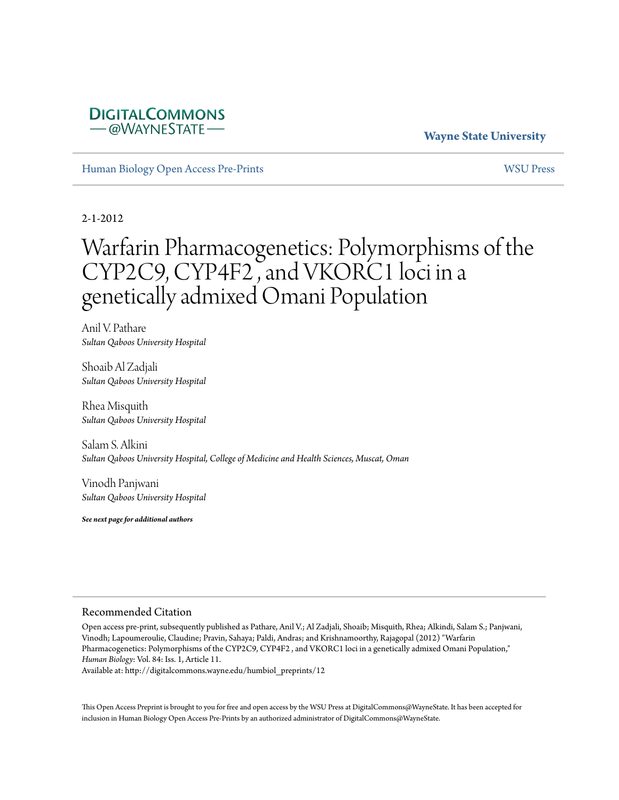# **DIGITALCOMMONS** -@WAYNESTATE-

# **Wayne State University**

[Human Biology Open Access Pre-Prints](http://digitalcommons.wayne.edu/humbiol_preprints) [WSU Press](http://digitalcommons.wayne.edu/wsupress)

2-1-2012

# Warfarin Pharmacogenetics: Polymorphisms of the CYP2C9, CYP4F2 , and VKORC1 loci in a genetically admixed Omani Population

Anil V. Pathare *Sultan Qaboos University Hospital*

Shoaib Al Zadjali *Sultan Qaboos University Hospital*

Rhea Misquith *Sultan Qaboos University Hospital*

Salam S. Alkini *Sultan Qaboos University Hospital, College of Medicine and Health Sciences, Muscat, Oman*

Vinodh Panjwani *Sultan Qaboos University Hospital*

*See next page for additional authors*

#### Recommended Citation

Open access pre-print, subsequently published as Pathare, Anil V.; Al Zadjali, Shoaib; Misquith, Rhea; Alkindi, Salam S.; Panjwani, Vinodh; Lapoumeroulie, Claudine; Pravin, Sahaya; Paldi, Andras; and Krishnamoorthy, Rajagopal (2012) "Warfarin Pharmacogenetics: Polymorphisms of the CYP2C9, CYP4F2 , and VKORC1 loci in a genetically admixed Omani Population," *Human Biology*: Vol. 84: Iss. 1, Article 11.

Available at: http://digitalcommons.wayne.edu/humbiol\_preprints/12

This Open Access Preprint is brought to you for free and open access by the WSU Press at DigitalCommons@WayneState. It has been accepted for inclusion in Human Biology Open Access Pre-Prints by an authorized administrator of DigitalCommons@WayneState.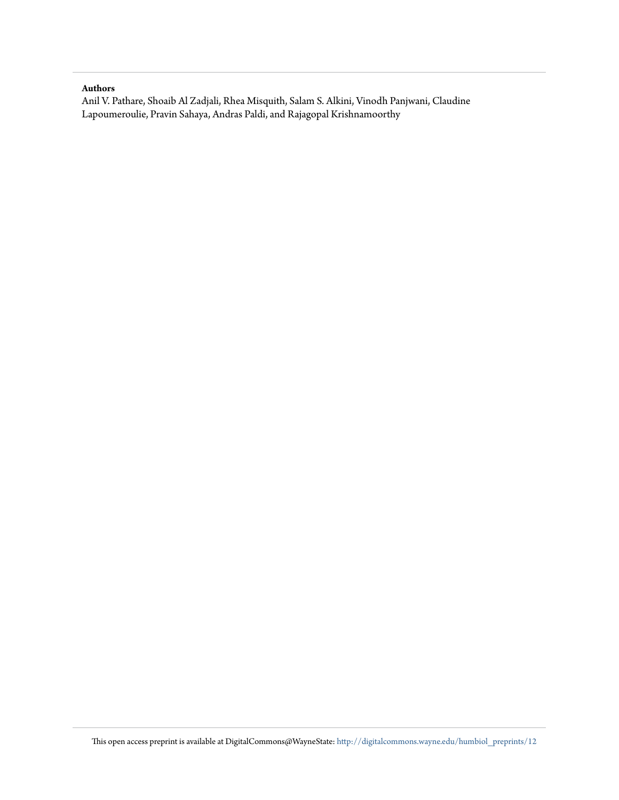#### **Authors**

Anil V. Pathare, Shoaib Al Zadjali, Rhea Misquith, Salam S. Alkini, Vinodh Panjwani, Claudine Lapoumeroulie, Pravin Sahaya, Andras Paldi, and Rajagopal Krishnamoorthy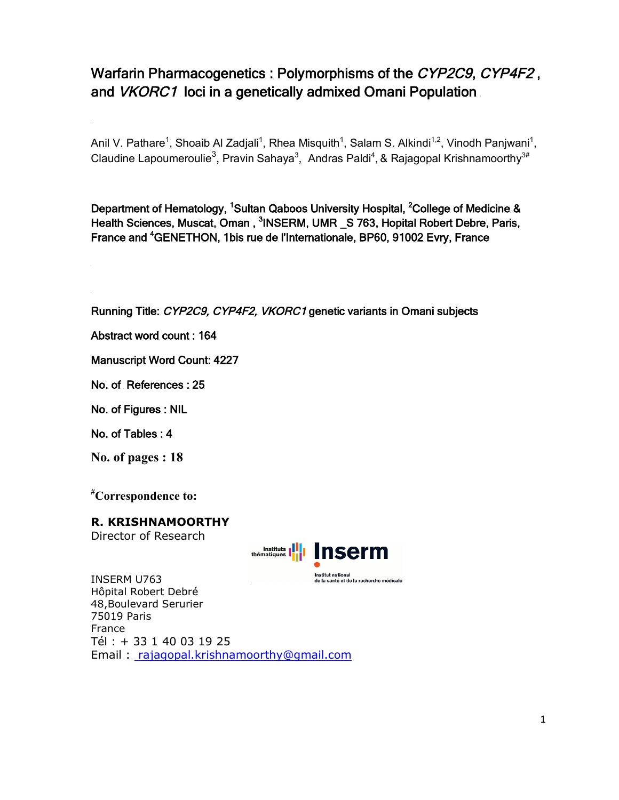# **Warfarin Pharmacogenetics : Polymorphisms of the** *CYP2C9***,** *CYP4F2* **, and** *VKORC1* **loci in a genetically admixed Omani Population**

Anil V. Pathare<sup>1</sup>, Shoaib Al Zadjali<sup>1</sup>, Rhea Misquith<sup>1</sup>, Salam S. Alkindi<sup>1,2</sup>, Vinodh Panjwani<sup>1</sup>, Claudine Lapoumeroulie<sup>3</sup>, Pravin Sahaya<sup>3</sup>, Andras Paldi<sup>4</sup>, & Rajagopal Krishnamoorthy<sup>3#</sup>

**Department of Hematology, <sup>1</sup>Sultan Qaboos University Hospital, <sup>2</sup>College of Medicine &**  Health Sciences, Muscat, Oman, <sup>3</sup>INSERM, UMR \_S 763, Hopital Robert Debre, Paris, **France and <sup>4</sup>GENETHON, 1bis rue de l'Internationale, BP60, 91002 Evry, France** 

**Running Title:** *CYP2C9, CYP4F2, VKORC1* **genetic variants in Omani subjects** 

**Abstract word count : 164** 

**Manuscript Word Count: 4227** 

**No. of References : 25** 

**No. of Figures : NIL** 

**No. of Tables : 4** 

**No. of pages : 18**

**#Correspondence to:**

**R. KRISHNAMOORTHY** 

Director of Research



INSERM U763 de la santé et de la recherche médicale Hôpital Robert Debré 48,Boulevard Serurier 75019 Paris France Tél : + 33 1 40 03 19 25 Email : rajagopal.krishnamoorthy@gmail.com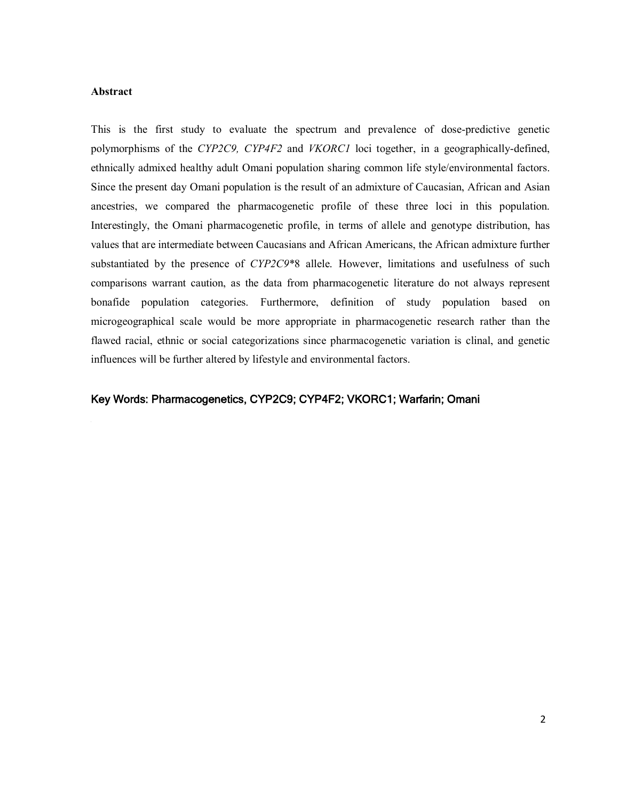#### **Abstract**

This is the first study to evaluate the spectrum and prevalence of dose-predictive genetic polymorphisms of the *CYP2C9, CYP4F2* and *VKORC1* loci together, in a geographically-defined, ethnically admixed healthy adult Omani population sharing common life style/environmental factors. Since the present day Omani population is the result of an admixture of Caucasian, African and Asian ancestries, we compared the pharmacogenetic profile of these three loci in this population. Interestingly, the Omani pharmacogenetic profile, in terms of allele and genotype distribution, has values that are intermediate between Caucasians and African Americans, the African admixture further substantiated by the presence of *CYP2C9*\*8 allele. However, limitations and usefulness of such comparisons warrant caution, as the data from pharmacogenetic literature do not always represent bonafide population categories. Furthermore, definition of study population based on microgeographical scale would be more appropriate in pharmacogenetic research rather than the flawed racial, ethnic or social categorizations since pharmacogenetic variation is clinal, and genetic influences will be further altered by lifestyle and environmental factors.

### **Key Words: Pharmacogenetics, CYP2C9; CYP4F2; VKORC1; Warfarin; Omani**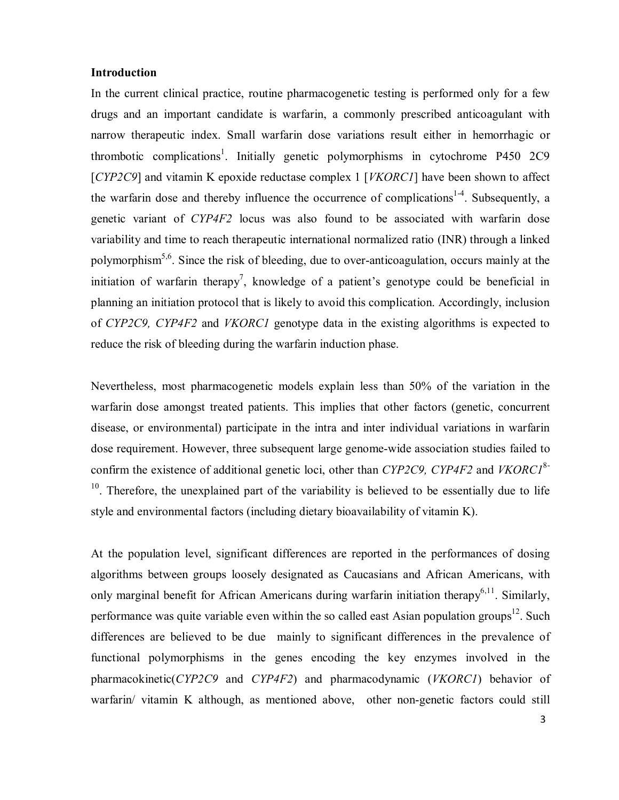# **Introduction**

In the current clinical practice, routine pharmacogenetic testing is performed only for a few drugs and an important candidate is warfarin, a commonly prescribed anticoagulant with narrow therapeutic index. Small warfarin dose variations result either in hemorrhagic or thrombotic complications<sup>1</sup>. Initially genetic polymorphisms in cytochrome P450 2C9 [*CYP2C9*] and vitamin K epoxide reductase complex 1 [*VKORC1*] have been shown to affect the warfarin dose and thereby influence the occurrence of complications<sup>1-4</sup>. Subsequently, a genetic variant of *CYP4F2* locus was also found to be associated with warfarin dose variability and time to reach therapeutic international normalized ratio (INR) through a linked polymorphism<sup>5,6</sup>. Since the risk of bleeding, due to over-anticoagulation, occurs mainly at the initiation of warfarin therapy<sup>7</sup>, knowledge of a patient's genotype could be beneficial in planning an initiation protocol that is likely to avoid this complication. Accordingly, inclusion of *CYP2C9, CYP4F2* and *VKORC1* genotype data in the existing algorithms is expected to reduce the risk of bleeding during the warfarin induction phase.

Nevertheless, most pharmacogenetic models explain less than 50% of the variation in the warfarin dose amongst treated patients. This implies that other factors (genetic, concurrent disease, or environmental) participate in the intra and inter individual variations in warfarin dose requirement. However, three subsequent large genome-wide association studies failed to confirm the existence of additional genetic loci, other than *CYP2C9, CYP4F2* and *VKORC1*8- <sup>10</sup>. Therefore, the unexplained part of the variability is believed to be essentially due to life style and environmental factors (including dietary bioavailability of vitamin K).

At the population level, significant differences are reported in the performances of dosing algorithms between groups loosely designated as Caucasians and African Americans, with only marginal benefit for African Americans during warfarin initiation therapy<sup>6,11</sup>. Similarly, performance was quite variable even within the so called east Asian population groups<sup>12</sup>. Such differences are believed to be due mainly to significant differences in the prevalence of functional polymorphisms in the genes encoding the key enzymes involved in the pharmacokinetic(*CYP2C9* and *CYP4F2*) and pharmacodynamic (*VKORC1*) behavior of warfarin/ vitamin K although, as mentioned above, other non-genetic factors could still

3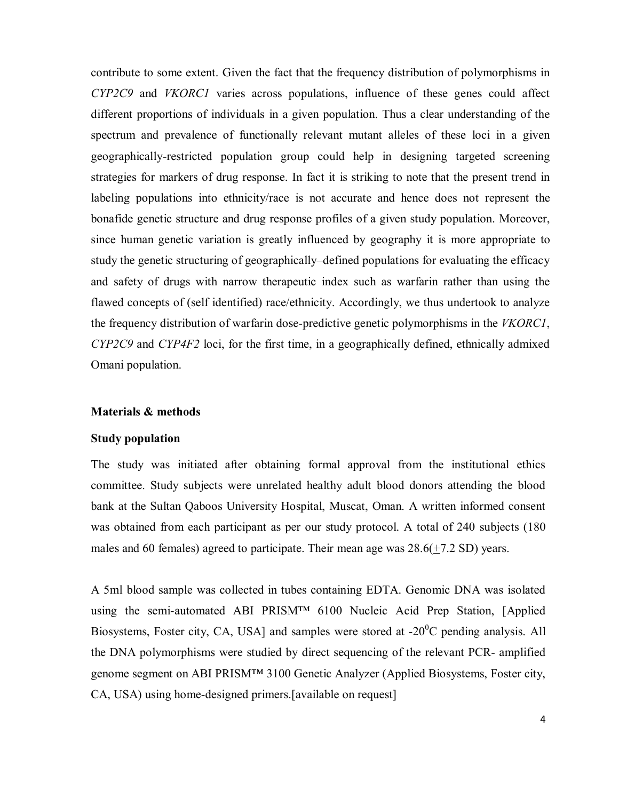contribute to some extent. Given the fact that the frequency distribution of polymorphisms in *CYP2C9* and *VKORC1* varies across populations, influence of these genes could affect different proportions of individuals in a given population. Thus a clear understanding of the spectrum and prevalence of functionally relevant mutant alleles of these loci in a given geographically-restricted population group could help in designing targeted screening strategies for markers of drug response. In fact it is striking to note that the present trend in labeling populations into ethnicity/race is not accurate and hence does not represent the bonafide genetic structure and drug response profiles of a given study population. Moreover, since human genetic variation is greatly influenced by geography it is more appropriate to study the genetic structuring of geographically–defined populations for evaluating the efficacy and safety of drugs with narrow therapeutic index such as warfarin rather than using the flawed concepts of (self identified) race/ethnicity. Accordingly, we thus undertook to analyze the frequency distribution of warfarin dose-predictive genetic polymorphisms in the *VKORC1*, *CYP2C9* and *CYP4F2* loci, for the first time, in a geographically defined, ethnically admixed Omani population.

### **Materials & methods**

## **Study population**

The study was initiated after obtaining formal approval from the institutional ethics committee. Study subjects were unrelated healthy adult blood donors attending the blood bank at the Sultan Qaboos University Hospital, Muscat, Oman. A written informed consent was obtained from each participant as per our study protocol. A total of 240 subjects (180 males and 60 females) agreed to participate. Their mean age was 28.6(+7.2 SD) years.

A 5ml blood sample was collected in tubes containing EDTA. Genomic DNA was isolated using the semi-automated ABI PRISM™ 6100 Nucleic Acid Prep Station, [Applied Biosystems, Foster city, CA, USA] and samples were stored at  $-20^{\circ}$ C pending analysis. All the DNA polymorphisms were studied by direct sequencing of the relevant PCR- amplified genome segment on ABI PRISM™ 3100 Genetic Analyzer (Applied Biosystems, Foster city, CA, USA) using home-designed primers.[available on request]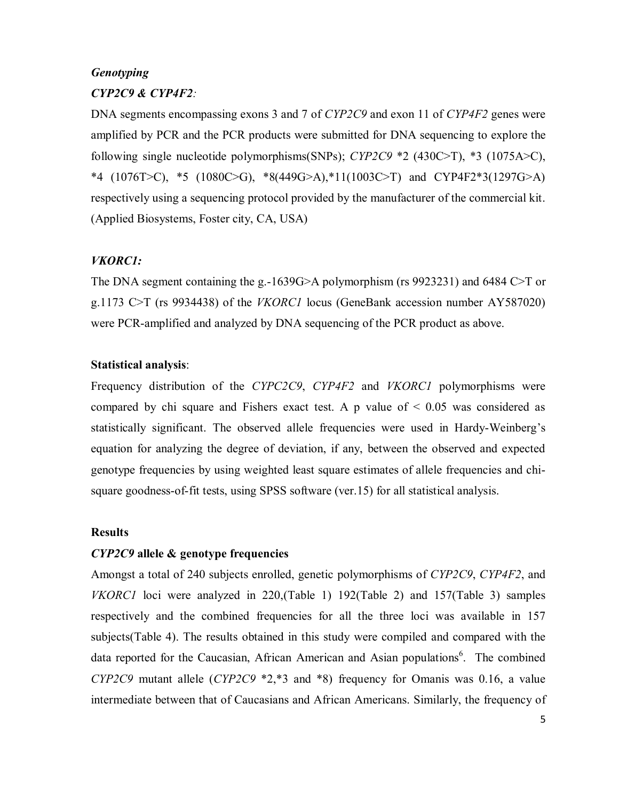# *Genotyping CYP2C9 & CYP4F2:*

DNA segments encompassing exons 3 and 7 of *CYP2C9* and exon 11 of *CYP4F2* genes were amplified by PCR and the PCR products were submitted for DNA sequencing to explore the following single nucleotide polymorphisms(SNPs); *CYP2C9* \*2 (430C>T), \*3 (1075A>C), \*4 (1076T>C), \*5 (1080C>G), \*8(449G>A),\*11(1003C>T) and CYP4F2\*3(1297G>A) respectively using a sequencing protocol provided by the manufacturer of the commercial kit. (Applied Biosystems, Foster city, CA, USA)

# *VKORC1:*

The DNA segment containing the g.-1639G>A polymorphism (rs 9923231) and 6484 C>T or g.1173 C>T (rs 9934438) of the *VKORC1* locus (GeneBank accession number AY587020) were PCR-amplified and analyzed by DNA sequencing of the PCR product as above.

# **Statistical analysis**:

Frequency distribution of the *CYPC2C9*, *CYP4F2* and *VKORC1* polymorphisms were compared by chi square and Fishers exact test. A p value of  $\leq 0.05$  was considered as statistically significant. The observed allele frequencies were used in Hardy-Weinberg's equation for analyzing the degree of deviation, if any, between the observed and expected genotype frequencies by using weighted least square estimates of allele frequencies and chisquare goodness-of-fit tests, using SPSS software (ver.15) for all statistical analysis.

# **Results**

# *CYP2C9* **allele & genotype frequencies**

Amongst a total of 240 subjects enrolled, genetic polymorphisms of *CYP2C9*, *CYP4F2*, and *VKORC1* loci were analyzed in 220,(Table 1) 192(Table 2) and 157(Table 3) samples respectively and the combined frequencies for all the three loci was available in 157 subjects(Table 4). The results obtained in this study were compiled and compared with the data reported for the Caucasian, African American and Asian populations<sup>6</sup>. The combined *CYP2C9* mutant allele (*CYP2C9* \*2,\*3 and \*8) frequency for Omanis was 0.16, a value intermediate between that of Caucasians and African Americans. Similarly, the frequency of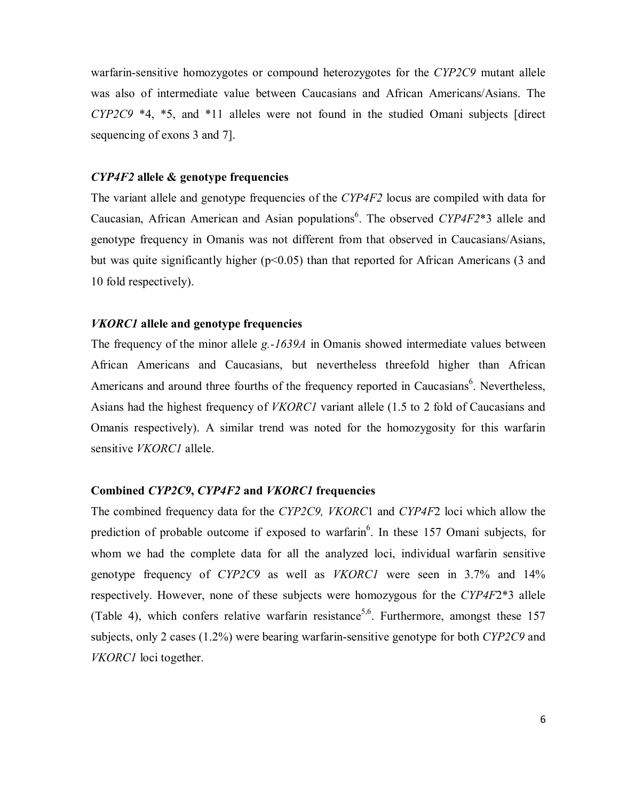warfarin-sensitive homozygotes or compound heterozygotes for the *CYP2C9* mutant allele was also of intermediate value between Caucasians and African Americans/Asians. The *CYP2C9* \*4, \*5, and \*11 alleles were not found in the studied Omani subjects [direct sequencing of exons 3 and 7].

## *CYP4F2* **allele & genotype frequencies**

The variant allele and genotype frequencies of the *CYP4F2* locus are compiled with data for Caucasian, African American and Asian populations<sup>6</sup>. The observed *CYP4F2*\*3 allele and genotype frequency in Omanis was not different from that observed in Caucasians/Asians, but was quite significantly higher ( $p<0.05$ ) than that reported for African Americans (3 and 10 fold respectively).

### *VKORC1* **allele and genotype frequencies**

The frequency of the minor allele *g.-1639A* in Omanis showed intermediate values between African Americans and Caucasians, but nevertheless threefold higher than African Americans and around three fourths of the frequency reported in Caucasians<sup>6</sup>. Nevertheless, Asians had the highest frequency of *VKORC1* variant allele (1.5 to 2 fold of Caucasians and Omanis respectively). A similar trend was noted for the homozygosity for this warfarin sensitive *VKORC1* allele.

## **Combined** *CYP2C9***,** *CYP4F2* **and** *VKORC1* **frequencies**

The combined frequency data for the *CYP2C9, VKORC*1 and *CYP4F*2 loci which allow the prediction of probable outcome if exposed to warfarin<sup>6</sup>. In these 157 Omani subjects, for whom we had the complete data for all the analyzed loci, individual warfarin sensitive genotype frequency of *CYP2C9* as well as *VKORC1* were seen in 3.7% and 14% respectively. However, none of these subjects were homozygous for the *CYP4F*2\*3 allele (Table 4), which confers relative warfarin resistance<sup>5,6</sup>. Furthermore, amongst these 157 subjects, only 2 cases (1.2%) were bearing warfarin-sensitive genotype for both *CYP2C9* and *VKORC1* loci together.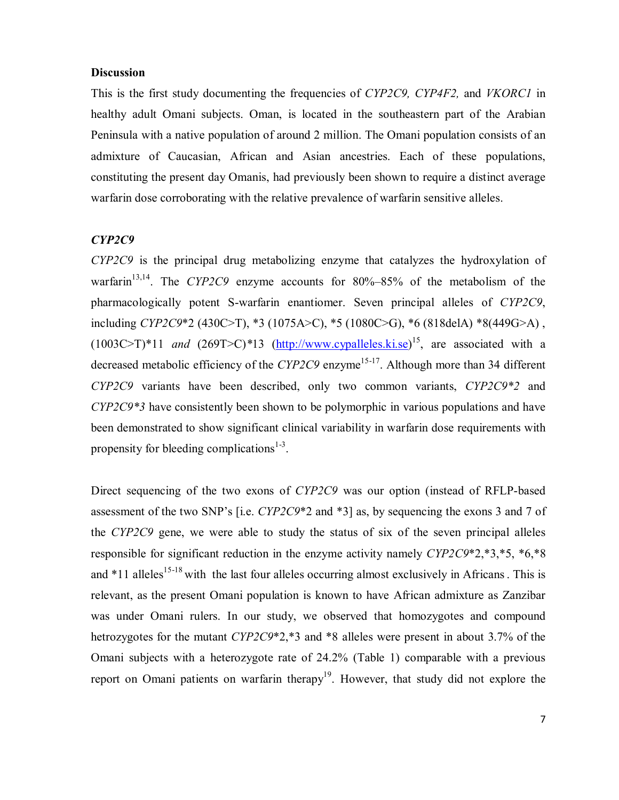# **Discussion**

This is the first study documenting the frequencies of *CYP2C9, CYP4F2,* and *VKORC1* in healthy adult Omani subjects. Oman, is located in the southeastern part of the Arabian Peninsula with a native population of around 2 million. The Omani population consists of an admixture of Caucasian, African and Asian ancestries. Each of these populations, constituting the present day Omanis, had previously been shown to require a distinct average warfarin dose corroborating with the relative prevalence of warfarin sensitive alleles.

#### *CYP2C9*

*CYP2C9* is the principal drug metabolizing enzyme that catalyzes the hydroxylation of warfarin<sup>13,14</sup>. The *CYP2C9* enzyme accounts for 80%–85% of the metabolism of the pharmacologically potent S-warfarin enantiomer. Seven principal alleles of *CYP2C9*, including *CYP2C9*\*2 (430C>T), \*3 (1075A>C), \*5 (1080C>G), \*6 (818delA) \*8(449G>A) ,  $(1003C>T)^*11$  *and*  $(269T>C)^*13$   $(\underline{http://www.cypalleles.ki.se})^{15}$ , are associated with a decreased metabolic efficiency of the *CYP2C9* enzyme<sup>15-17</sup>. Although more than 34 different *CYP2C9* variants have been described, only two common variants, *CYP2C9\*2* and *CYP2C9\*3* have consistently been shown to be polymorphic in various populations and have been demonstrated to show significant clinical variability in warfarin dose requirements with propensity for bleeding complications<sup>1-3</sup>.

Direct sequencing of the two exons of *CYP2C9* was our option (instead of RFLP-based assessment of the two SNP's [i.e. *CYP2C9*\*2 and \*3] as, by sequencing the exons 3 and 7 of the *CYP2C9* gene, we were able to study the status of six of the seven principal alleles responsible for significant reduction in the enzyme activity namely *CYP2C9*\*2,\*3,\*5, \*6,\*8 and  $*11$  alleles<sup>15-18</sup> with the last four alleles occurring almost exclusively in Africans. This is relevant, as the present Omani population is known to have African admixture as Zanzibar was under Omani rulers. In our study, we observed that homozygotes and compound hetrozygotes for the mutant *CYP2C9*\*2,\*3 and \*8 alleles were present in about 3.7% of the Omani subjects with a heterozygote rate of 24.2% (Table 1) comparable with a previous report on Omani patients on warfarin therapy<sup>19</sup>. However, that study did not explore the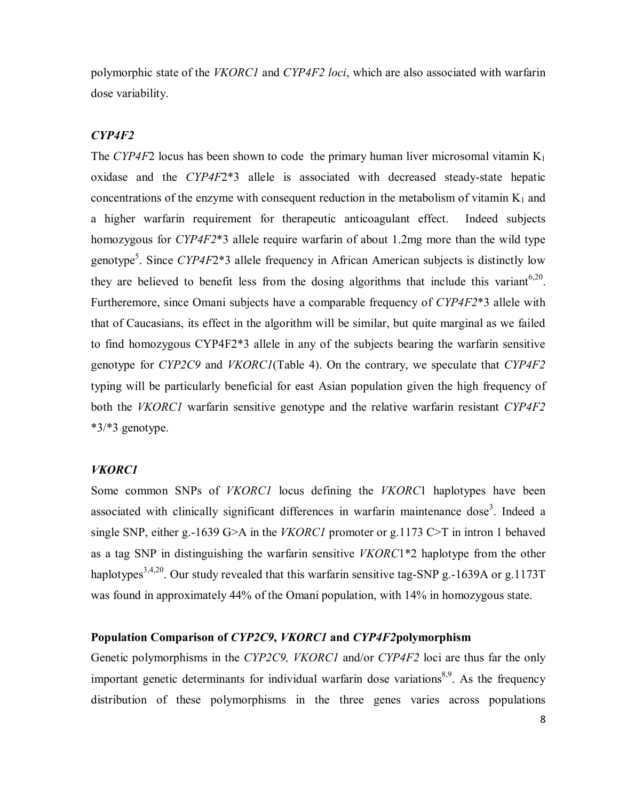polymorphic state of the *VKORC1* and *CYP4F2 loci*, which are also associated with warfarin dose variability.

# *CYP4F2*

The *CYP4F*2 locus has been shown to code the primary human liver microsomal vitamin  $K_1$ oxidase and the *CYP4F*2\*3 allele is associated with decreased steady-state hepatic concentrations of the enzyme with consequent reduction in the metabolism of vitamin  $K_1$  and a higher warfarin requirement for therapeutic anticoagulant effect. Indeed subjects homozygous for *CYP4F2*\*3 allele require warfarin of about 1.2mg more than the wild type genotype<sup>5</sup>. Since *CYP4F*2\*3 allele frequency in African American subjects is distinctly low they are believed to benefit less from the dosing algorithms that include this variant<sup>6,20</sup>. Furtheremore, since Omani subjects have a comparable frequency of *CYP4F2*\*3 allele with that of Caucasians, its effect in the algorithm will be similar, but quite marginal as we failed to find homozygous CYP4F2\*3 allele in any of the subjects bearing the warfarin sensitive genotype for *CYP2C9* and *VKORC1*(Table 4). On the contrary, we speculate that *CYP4F2* typing will be particularly beneficial for east Asian population given the high frequency of both the *VKORC1* warfarin sensitive genotype and the relative warfarin resistant *CYP4F2*  \*3/\*3 genotype.

#### *VKORC1*

Some common SNPs of *VKORC1* locus defining the *VKORC*1 haplotypes have been associated with clinically significant differences in warfarin maintenance dose<sup>3</sup>. Indeed a single SNP, either g.-1639 G>A in the *VKORC1* promoter or g.1173 C>T in intron 1 behaved as a tag SNP in distinguishing the warfarin sensitive *VKORC*1\*2 haplotype from the other haplotypes<sup>3,4,20</sup>. Our study revealed that this warfarin sensitive tag-SNP g.-1639A or g.1173T was found in approximately 44% of the Omani population, with 14% in homozygous state.

# **Population Comparison of** *CYP2C9***,** *VKORC1* **and** *CYP4F2***polymorphism**

Genetic polymorphisms in the *CYP2C9, VKORC1* and/or *CYP4F2* loci are thus far the only important genetic determinants for individual warfarin dose variations<sup>8,9</sup>. As the frequency distribution of these polymorphisms in the three genes varies across populations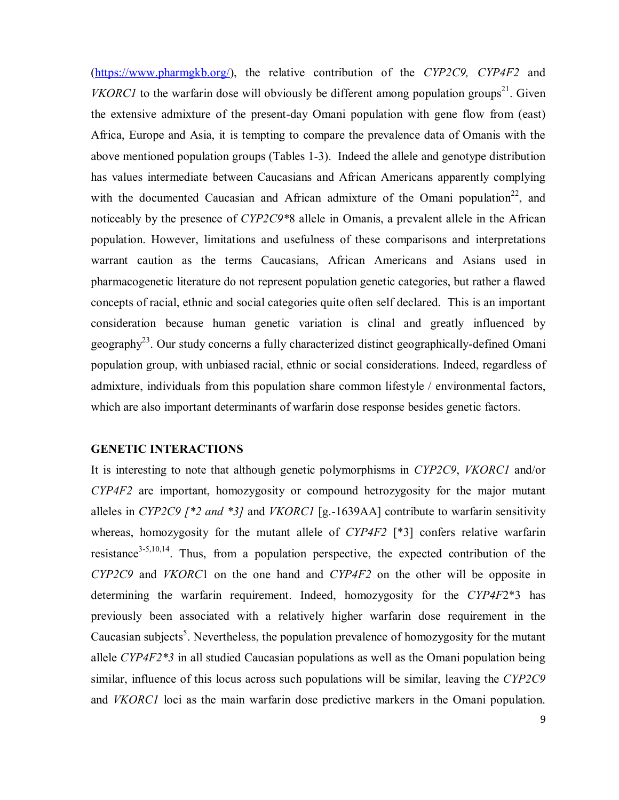(https://www.pharmgkb.org/), the relative contribution of the *CYP2C9, CYP4F2* and *VKORC1* to the warfarin dose will obviously be different among population groups<sup>21</sup>. Given the extensive admixture of the present-day Omani population with gene flow from (east) Africa, Europe and Asia, it is tempting to compare the prevalence data of Omanis with the above mentioned population groups (Tables 1-3). Indeed the allele and genotype distribution has values intermediate between Caucasians and African Americans apparently complying with the documented Caucasian and African admixture of the Omani population<sup>22</sup>, and noticeably by the presence of *CYP2C9\**8 allele in Omanis, a prevalent allele in the African population. However, limitations and usefulness of these comparisons and interpretations warrant caution as the terms Caucasians, African Americans and Asians used in pharmacogenetic literature do not represent population genetic categories, but rather a flawed concepts of racial, ethnic and social categories quite often self declared. This is an important consideration because human genetic variation is clinal and greatly influenced by geography<sup>23</sup>. Our study concerns a fully characterized distinct geographically-defined Omani population group, with unbiased racial, ethnic or social considerations. Indeed, regardless of admixture, individuals from this population share common lifestyle / environmental factors, which are also important determinants of warfarin dose response besides genetic factors.

### **GENETIC INTERACTIONS**

It is interesting to note that although genetic polymorphisms in *CYP2C9*, *VKORC1* and/or *CYP4F2* are important, homozygosity or compound hetrozygosity for the major mutant alleles in *CYP2C9 [\*2 and \*3]* and *VKORC1* [g.-1639AA] contribute to warfarin sensitivity whereas, homozygosity for the mutant allele of *CYP4F2* [\*3] confers relative warfarin resistance<sup>3-5,10,14</sup>. Thus, from a population perspective, the expected contribution of the *CYP2C9* and *VKORC*1 on the one hand and *CYP4F2* on the other will be opposite in determining the warfarin requirement. Indeed, homozygosity for the *CYP4F*2\*3 has previously been associated with a relatively higher warfarin dose requirement in the Caucasian subjects<sup>5</sup>. Nevertheless, the population prevalence of homozygosity for the mutant allele *CYP4F2\*3* in all studied Caucasian populations as well as the Omani population being similar, influence of this locus across such populations will be similar, leaving the *CYP2C9* and *VKORC1* loci as the main warfarin dose predictive markers in the Omani population.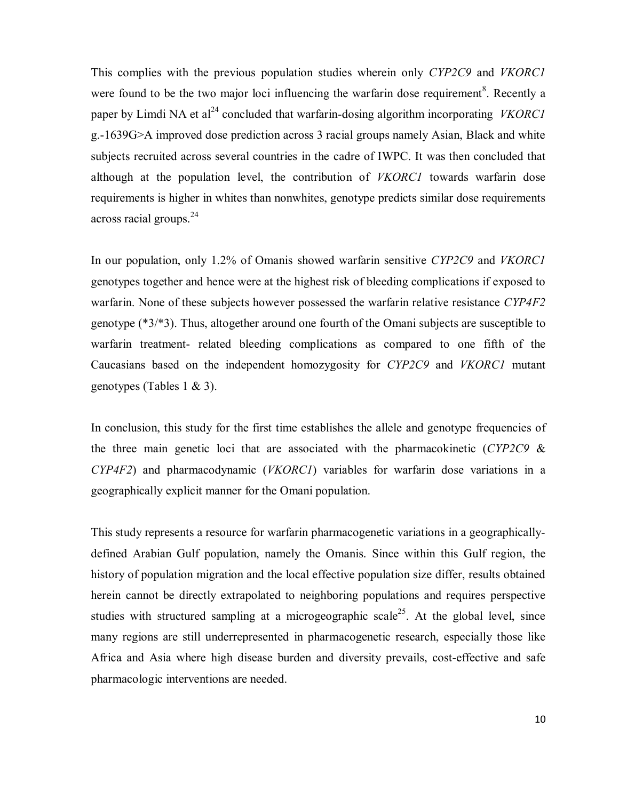This complies with the previous population studies wherein only *CYP2C9* and *VKORC1* were found to be the two major loci influencing the warfarin dose requirement<sup>8</sup>. Recently a paper by Limdi NA et al<sup>24</sup> concluded that warfarin-dosing algorithm incorporating *VKORC1* g.-1639G>A improved dose prediction across 3 racial groups namely Asian, Black and white subjects recruited across several countries in the cadre of IWPC. It was then concluded that although at the population level, the contribution of *VKORC1* towards warfarin dose requirements is higher in whites than nonwhites, genotype predicts similar dose requirements across racial groups.  $24$ 

In our population, only 1.2% of Omanis showed warfarin sensitive *CYP2C9* and *VKORC1* genotypes together and hence were at the highest risk of bleeding complications if exposed to warfarin. None of these subjects however possessed the warfarin relative resistance *CYP4F2* genotype (\*3/\*3). Thus, altogether around one fourth of the Omani subjects are susceptible to warfarin treatment- related bleeding complications as compared to one fifth of the Caucasians based on the independent homozygosity for *CYP2C9* and *VKORC1* mutant genotypes (Tables 1 & 3).

In conclusion, this study for the first time establishes the allele and genotype frequencies of the three main genetic loci that are associated with the pharmacokinetic (*CYP2C9* & *CYP4F2*) and pharmacodynamic (*VKORC1*) variables for warfarin dose variations in a geographically explicit manner for the Omani population.

This study represents a resource for warfarin pharmacogenetic variations in a geographicallydefined Arabian Gulf population, namely the Omanis. Since within this Gulf region, the history of population migration and the local effective population size differ, results obtained herein cannot be directly extrapolated to neighboring populations and requires perspective studies with structured sampling at a microgeographic scale<sup>25</sup>. At the global level, since many regions are still underrepresented in pharmacogenetic research, especially those like Africa and Asia where high disease burden and diversity prevails, cost-effective and safe pharmacologic interventions are needed.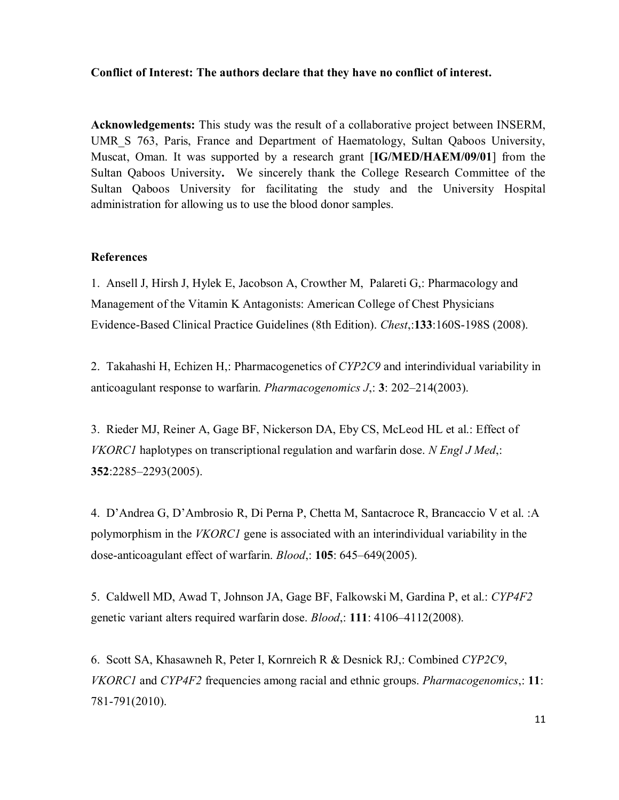# **Conflict of Interest: The authors declare that they have no conflict of interest.**

**Acknowledgements:** This study was the result of a collaborative project between INSERM, UMR\_S 763, Paris, France and Department of Haematology, Sultan Qaboos University, Muscat, Oman. It was supported by a research grant [**IG/MED/HAEM/09/01**] from the Sultan Qaboos University**.** We sincerely thank the College Research Committee of the Sultan Qaboos University for facilitating the study and the University Hospital administration for allowing us to use the blood donor samples.

# **References**

1. Ansell J, Hirsh J, Hylek E, Jacobson A, Crowther M, Palareti G,: Pharmacology and Management of the Vitamin K Antagonists: American College of Chest Physicians Evidence-Based Clinical Practice Guidelines (8th Edition). *Chest*,:**133**:160S-198S (2008).

2. Takahashi H, Echizen H,: Pharmacogenetics of *CYP2C9* and interindividual variability in anticoagulant response to warfarin. *Pharmacogenomics J*,: **3**: 202–214(2003).

3. Rieder MJ, Reiner A, Gage BF, Nickerson DA, Eby CS, McLeod HL et al.: Effect of *VKORC1* haplotypes on transcriptional regulation and warfarin dose. *N Engl J Med*,: **352**:2285–2293(2005).

4. D'Andrea G, D'Ambrosio R, Di Perna P, Chetta M, Santacroce R, Brancaccio V et al. :A polymorphism in the *VKORC1* gene is associated with an interindividual variability in the dose-anticoagulant effect of warfarin. *Blood*,: **105**: 645–649(2005).

5. Caldwell MD, Awad T, Johnson JA, Gage BF, Falkowski M, Gardina P, et al.: *CYP4F2* genetic variant alters required warfarin dose. *Blood*,: **111**: 4106–4112(2008).

6. Scott SA, Khasawneh R, Peter I, Kornreich R & Desnick RJ,: Combined *CYP2C9*, *VKORC1* and *CYP4F2* frequencies among racial and ethnic groups. *Pharmacogenomics*,: **11**: 781-791(2010).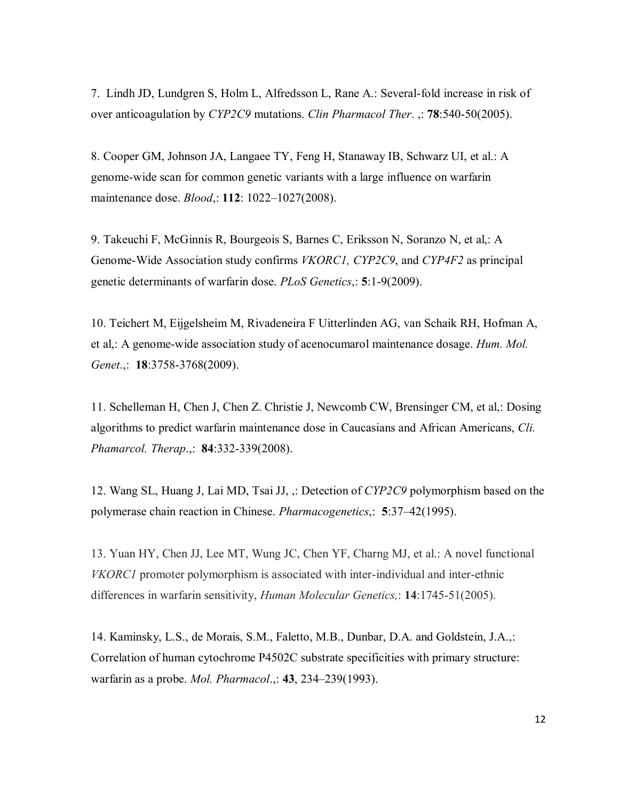7. Lindh JD, Lundgren S, Holm L, Alfredsson L, Rane A.: Several-fold increase in risk of over anticoagulation by *CYP2C9* mutations. *Clin Pharmacol Ther*. ,: **78**:540-50(2005).

8. Cooper GM, Johnson JA, Langaee TY, Feng H, Stanaway IB, Schwarz UI, et al.: A genome-wide scan for common genetic variants with a large influence on warfarin maintenance dose. *Blood*,: **112**: 1022–1027(2008).

9. Takeuchi F, McGinnis R, Bourgeois S, Barnes C, Eriksson N, Soranzo N, et al,: A Genome-Wide Association study confirms *VKORC1, CYP2C9*, and *CYP4F2* as principal genetic determinants of warfarin dose. *PLoS Genetics*,: **5**:1-9(2009).

10. Teichert M, Eijgelsheim M, Rivadeneira F Uitterlinden AG, van Schaik RH, Hofman A, et al,: A genome-wide association study of acenocumarol maintenance dosage. *Hum. Mol. Genet*.,: **18**:3758-3768(2009).

11. Schelleman H, Chen J, Chen Z. Christie J, Newcomb CW, Brensinger CM, et al,: Dosing algorithms to predict warfarin maintenance dose in Caucasians and African Americans, *Cli. Phamarcol. Therap*.,: **84**:332-339(2008).

12. Wang SL, Huang J, Lai MD, Tsai JJ, ,: Detection of *CYP2C9* polymorphism based on the polymerase chain reaction in Chinese. *Pharmacogenetics*,: **5**:37–42(1995).

13. Yuan HY, Chen JJ, Lee MT, Wung JC, Chen YF, Charng MJ, et al.: A novel functional *VKORC1* promoter polymorphism is associated with inter-individual and inter-ethnic differences in warfarin sensitivity, *Human Molecular Genetics,*: **14**:1745-51(2005).

14. Kaminsky, L.S., de Morais, S.M., Faletto, M.B., Dunbar, D.A. and Goldstein, J.A.,: Correlation of human cytochrome P4502C substrate specificities with primary structure: warfarin as a probe. *Mol. Pharmacol*.,: **43**, 234–239(1993).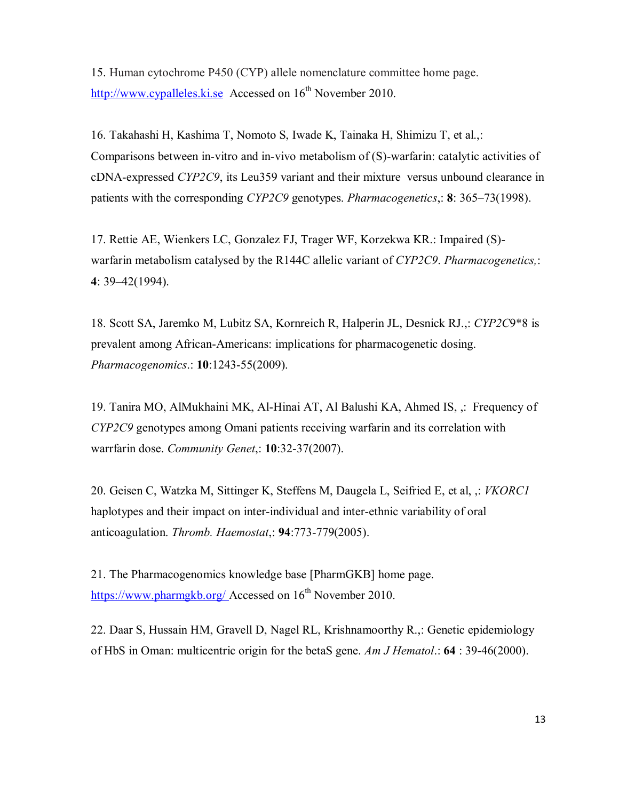15. Human cytochrome P450 (CYP) allele nomenclature committee home page. http://www.cypalleles.ki.se Accessed on  $16<sup>th</sup>$  November 2010.

16. Takahashi H, Kashima T, Nomoto S, Iwade K, Tainaka H, Shimizu T, et al.,: Comparisons between in-vitro and in-vivo metabolism of (S)-warfarin: catalytic activities of cDNA-expressed *CYP2C9*, its Leu359 variant and their mixture versus unbound clearance in patients with the corresponding *CYP2C9* genotypes. *Pharmacogenetics*,: **8**: 365–73(1998).

17. Rettie AE, Wienkers LC, Gonzalez FJ, Trager WF, Korzekwa KR.: Impaired (S) warfarin metabolism catalysed by the R144C allelic variant of *CYP2C9*. *Pharmacogenetics,*: **4**: 39–42(1994).

18. Scott SA, Jaremko M, Lubitz SA, Kornreich R, Halperin JL, Desnick RJ.,: *CYP2C*9\*8 is prevalent among African-Americans: implications for pharmacogenetic dosing. *Pharmacogenomics*.: **10**:1243-55(2009).

19. Tanira MO, AlMukhaini MK, Al-Hinai AT, Al Balushi KA, Ahmed IS, ,: Frequency of *CYP2C9* genotypes among Omani patients receiving warfarin and its correlation with warrfarin dose. *Community Genet*,: **10**:32-37(2007).

20. Geisen C, Watzka M, Sittinger K, Steffens M, Daugela L, Seifried E, et al, ,: *VKORC1* haplotypes and their impact on inter-individual and inter-ethnic variability of oral anticoagulation. *Thromb. Haemostat*,: **94**:773-779(2005).

21. The Pharmacogenomics knowledge base [PharmGKB] home page. https://www.pharmgkb.org/ Accessed on 16<sup>th</sup> November 2010.

22. Daar S, Hussain HM, Gravell D, Nagel RL, Krishnamoorthy R.,: Genetic epidemiology of HbS in Oman: multicentric origin for the betaS gene. *Am J Hematol*.: **64** : 39-46(2000).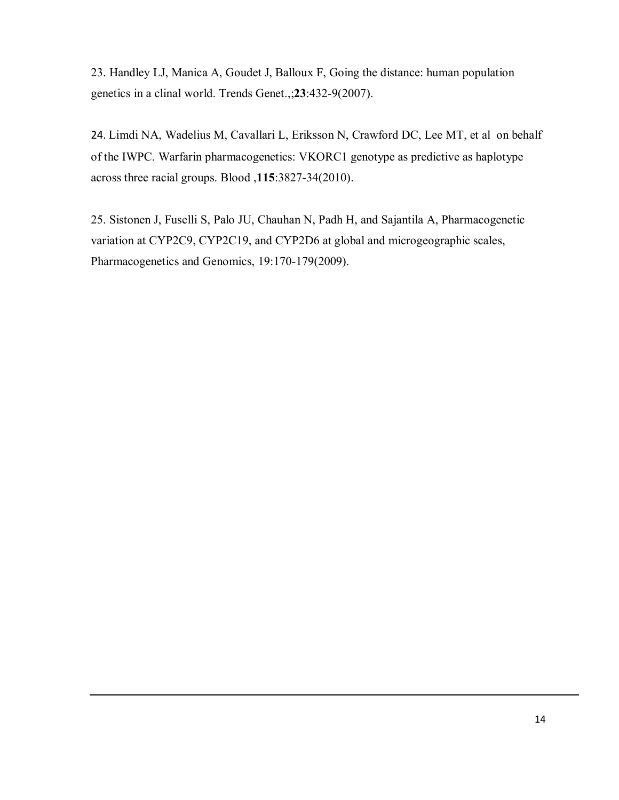23. Handley LJ, Manica A, Goudet J, Balloux F, Going the distance: human population genetics in a clinal world. Trends Genet.,;**23**:432-9(2007).

24. Limdi NA, Wadelius M, Cavallari L, Eriksson N, Crawford DC, Lee MT, et al on behalf of the IWPC. Warfarin pharmacogenetics: VKORC1 genotype as predictive as haplotype across three racial groups. Blood ,**115**:3827-34(2010).

25. Sistonen J, Fuselli S, Palo JU, Chauhan N, Padh H, and Sajantila A, Pharmacogenetic variation at CYP2C9, CYP2C19, and CYP2D6 at global and microgeographic scales, Pharmacogenetics and Genomics, 19:170-179(2009).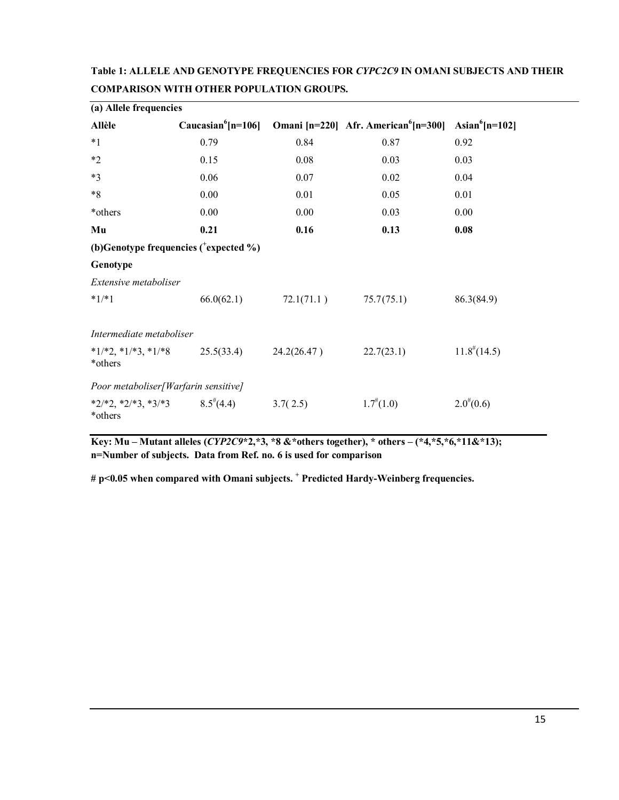| (a) Allele frequencies                 |                                                          |             |                                                  |                            |  |  |
|----------------------------------------|----------------------------------------------------------|-------------|--------------------------------------------------|----------------------------|--|--|
| <b>Allèle</b>                          | Caucasian <sup>6</sup> [n=106]                           |             | Omani [n=220] Afr. American <sup>6</sup> [n=300] | Asian <sup>6</sup> [n=102] |  |  |
| $*1$                                   | 0.79                                                     | 0.84        | 0.87                                             | 0.92                       |  |  |
| $*2$                                   | 0.15                                                     | 0.08        | 0.03                                             | 0.03                       |  |  |
| $*3$                                   | 0.06                                                     | 0.07        | 0.02                                             | 0.04                       |  |  |
| $*8$                                   | 0.00                                                     | 0.01        | 0.05                                             | 0.01                       |  |  |
| *others                                | 0.00                                                     | 0.00        | 0.03                                             | 0.00                       |  |  |
| Mu                                     | 0.21                                                     | 0.16        | 0.13                                             | 0.08                       |  |  |
|                                        | (b)Genotype frequencies $($ <sup>+</sup> expected $\%$ ) |             |                                                  |                            |  |  |
| Genotype                               |                                                          |             |                                                  |                            |  |  |
| Extensive metaboliser                  |                                                          |             |                                                  |                            |  |  |
| $*1/*1$                                | 66.0(62.1)                                               | 72.1(71.1)  | 75.7(75.1)                                       | 86.3(84.9)                 |  |  |
|                                        |                                                          |             |                                                  |                            |  |  |
| Intermediate metaboliser               |                                                          |             |                                                  |                            |  |  |
| $*1/*2, *1/*3, *1/*8$<br>*others       | 25.5(33.4)                                               | 24.2(26.47) | 22.7(23.1)                                       | $11.8^{\#}(14.5)$          |  |  |
| Poor metaboliser [Warfarin sensitive]  |                                                          |             |                                                  |                            |  |  |
| $*2/*2$ , $*2/*3$ , $*3/*3$<br>*others | $8.5^{\frac{\#}{4}}(4.4)$                                | 3.7(2.5)    | $1.7^{(4)}(1.0)$                                 | $2.0^{(0)}(0.6)$           |  |  |

**Table 1: ALLELE AND GENOTYPE FREQUENCIES FOR** *CYPC2C9* **IN OMANI SUBJECTS AND THEIR COMPARISON WITH OTHER POPULATION GROUPS.** 

**Key: Mu – Mutant alleles (***CYP2C9***\*2,\*3, \*8 &\*others together), \* others – (\*4,\*5,\*6,\*11&\*13); n=Number of subjects. Data from Ref. no. 6 is used for comparison**

**# p<0.05 when compared with Omani subjects. <sup>+</sup> Predicted Hardy-Weinberg frequencies.**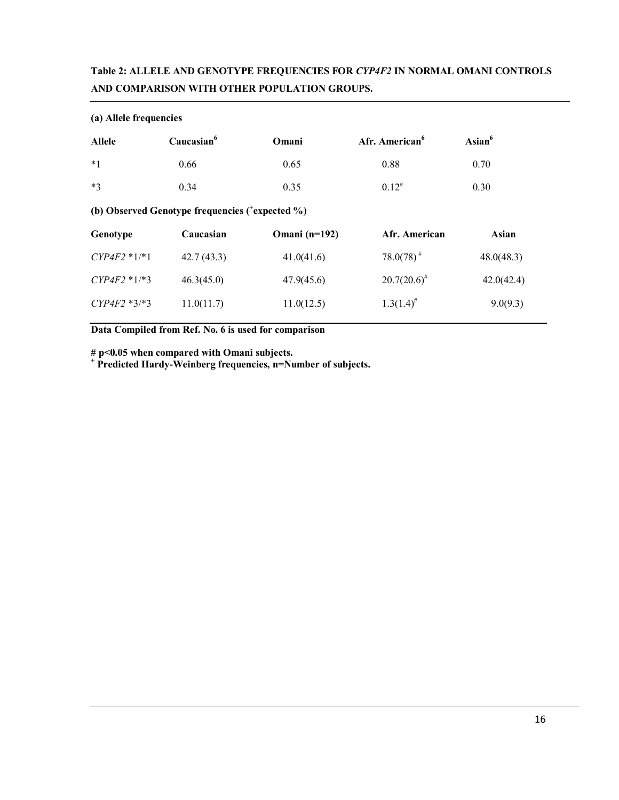# **Table 2: ALLELE AND GENOTYPE FREQUENCIES FOR** *CYP4F2* **IN NORMAL OMANI CONTROLS AND COMPARISON WITH OTHER POPULATION GROUPS.**

| (a) Allele frequencies                                       |                        |                      |                            |                  |  |  |
|--------------------------------------------------------------|------------------------|----------------------|----------------------------|------------------|--|--|
| <b>Allele</b>                                                | Caucasian <sup>6</sup> | Omani                | Afr. American <sup>6</sup> | $\text{Asian}^6$ |  |  |
| $*1$                                                         | 0.66                   | 0.65                 | 0.88                       | 0.70             |  |  |
| $*3$                                                         | 0.34                   | 0.35                 | $0.12^{#}$                 | 0.30             |  |  |
| (b) Observed Genotype frequencies ( <sup>+</sup> expected %) |                        |                      |                            |                  |  |  |
| Genotype                                                     | Caucasian              | <b>Omani</b> (n=192) | Afr. American              | Asian            |  |  |
| $CYP4F2*1,*1$                                                | 42.7(43.3)             | 41.0(41.6)           | $78.0(78)^{#}$             | 48.0(48.3)       |  |  |
| $CYP4F2 * 1/*3$                                              | 46.3(45.0)             | 47.9(45.6)           | $20.7(20.6)^{\#}$          | 42.0(42.4)       |  |  |
| $CYP4F2*3*3$                                                 | 11.0(11.7)             | 11.0(12.5)           | $1.3(1.4)^{#}$             | 9.0(9.3)         |  |  |
|                                                              |                        |                      |                            |                  |  |  |

**Data Compiled from Ref. No. 6 is used for comparison**

**# p<0.05 when compared with Omani subjects.** 

**<sup>+</sup> Predicted Hardy-Weinberg frequencies, n=Number of subjects.**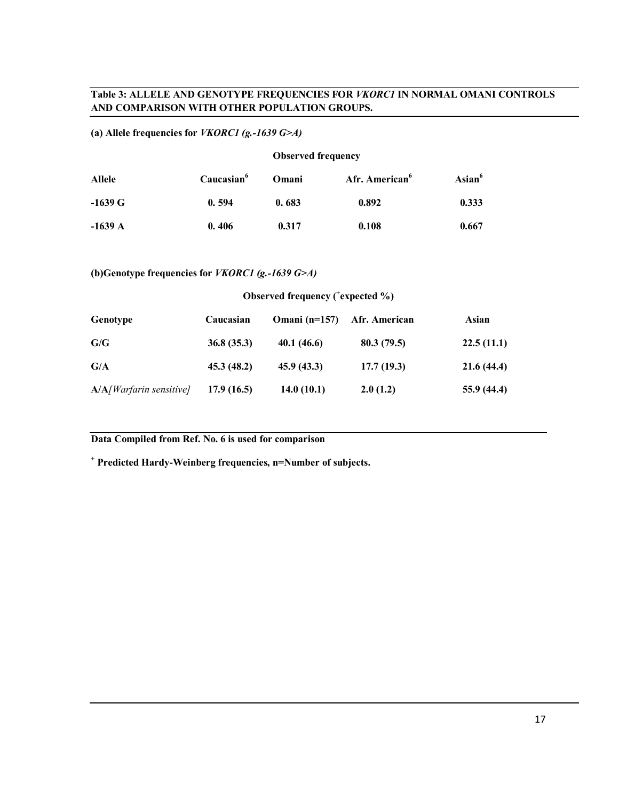# **Table 3: ALLELE AND GENOTYPE FREQUENCIES FOR** *VKORC1* **IN NORMAL OMANI CONTROLS AND COMPARISON WITH OTHER POPULATION GROUPS.**

# **(a) Allele frequencies for** *VKORC1 (g.-1639 G>A)*

#### **Observed frequency**

| Allele    | Caucasian <sup>6</sup> | Omani | Afr. American <sup>6</sup> | Asian <sup>6</sup> |
|-----------|------------------------|-------|----------------------------|--------------------|
| $-1639$ G | 0.594                  | 0.683 | 0.892                      | 0.333              |
| $-1639$ A | 0.406                  | 0.317 | 0.108                      | 0.667              |

# **(b)Genotype frequencies for** *VKORC1 (g.-1639 G>A)*

### **Observed frequency ( + expected %)**

| Genotype                   | Caucasian  | Omani ( $n=157$ ) | Afr. American | Asian      |
|----------------------------|------------|-------------------|---------------|------------|
| G/G                        | 36.8(35.3) | 40.1(46.6)        | 80.3(79.5)    | 22.5(11.1) |
| G/A                        | 45.3(48.2) | 45.9(43.3)        | 17.7(19.3)    | 21.6(44.4) |
| $A/A/W$ arfarin sensitive] | 17.9(16.5) | 14.0(10.1)        | 2.0(1.2)      | 55.9(44.4) |

## **Data Compiled from Ref. No. 6 is used for comparison**

**<sup>+</sup> Predicted Hardy-Weinberg frequencies, n=Number of subjects.**